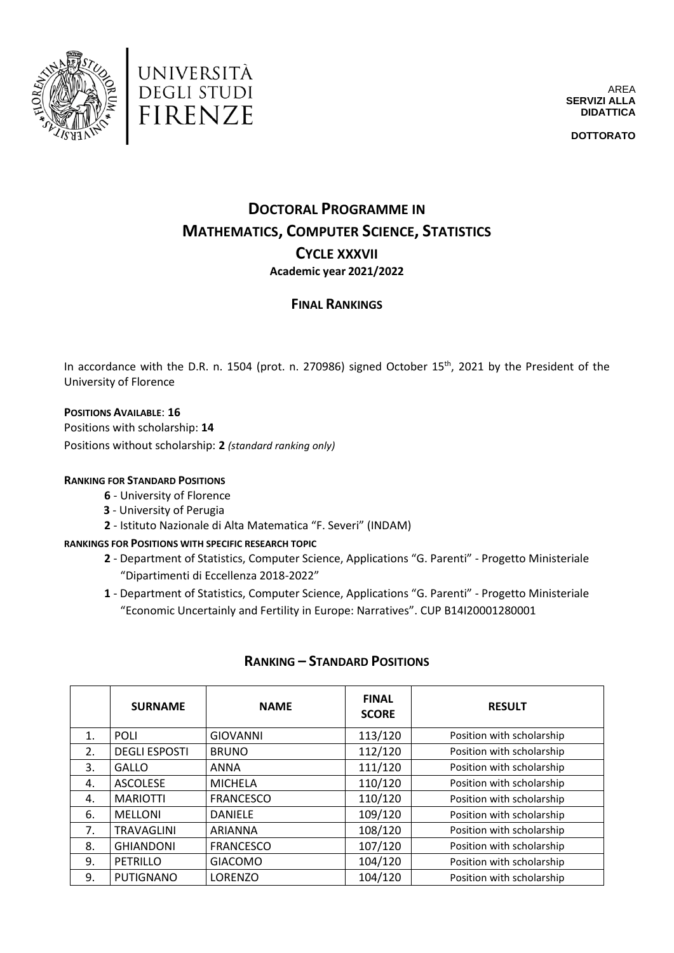



AREA **SERVIZI ALLA DIDATTICA**

**DOTTORATO**

# **DOCTORAL PROGRAMME IN MATHEMATICS, COMPUTER SCIENCE, STATISTICS CYCLE XXXVII Academic year 2021/2022**

## **FINAL RANKINGS**

In accordance with the D.R. n. 1504 (prot. n. 270986) signed October 15<sup>th</sup>, 2021 by the President of the University of Florence

#### **POSITIONS AVAILABLE**: **16**

Positions with scholarship: **14** Positions without scholarship: **2** *(standard ranking only)*

#### **RANKING FOR STANDARD POSITIONS**

- **6**  University of Florence
- **3**  University of Perugia
- **2**  Istituto Nazionale di Alta Matematica "F. Severi" (INDAM)

#### **RANKINGS FOR POSITIONS WITH SPECIFIC RESEARCH TOPIC**

- **2** Department of Statistics, Computer Science, Applications "G. Parenti" Progetto Ministeriale "Dipartimenti di Eccellenza 2018-2022"
- **1**  Department of Statistics, Computer Science, Applications "G. Parenti" Progetto Ministeriale "Economic Uncertainly and Fertility in Europe: Narratives". CUP B14I20001280001

|    | <b>SURNAME</b>       | <b>NAME</b>      | <b>FINAL</b><br><b>SCORE</b> | <b>RESULT</b>             |
|----|----------------------|------------------|------------------------------|---------------------------|
| 1. | <b>POLI</b>          | <b>GIOVANNI</b>  | 113/120                      | Position with scholarship |
| 2. | <b>DEGLI ESPOSTI</b> | <b>BRUNO</b>     | 112/120                      | Position with scholarship |
| 3. | GALLO                | <b>ANNA</b>      | 111/120                      | Position with scholarship |
| 4. | <b>ASCOLESE</b>      | <b>MICHELA</b>   | 110/120                      | Position with scholarship |
| 4. | <b>MARIOTTI</b>      | <b>FRANCESCO</b> | 110/120                      | Position with scholarship |
| 6. | <b>MELLONI</b>       | <b>DANIELE</b>   | 109/120                      | Position with scholarship |
| 7. | <b>TRAVAGLINI</b>    | ARIANNA          | 108/120                      | Position with scholarship |
| 8. | <b>GHIANDONI</b>     | <b>FRANCESCO</b> | 107/120                      | Position with scholarship |
| 9. | PETRILLO             | <b>GIACOMO</b>   | 104/120                      | Position with scholarship |
| 9. | <b>PUTIGNANO</b>     | LORENZO          | 104/120                      | Position with scholarship |

## **RANKING – STANDARD POSITIONS**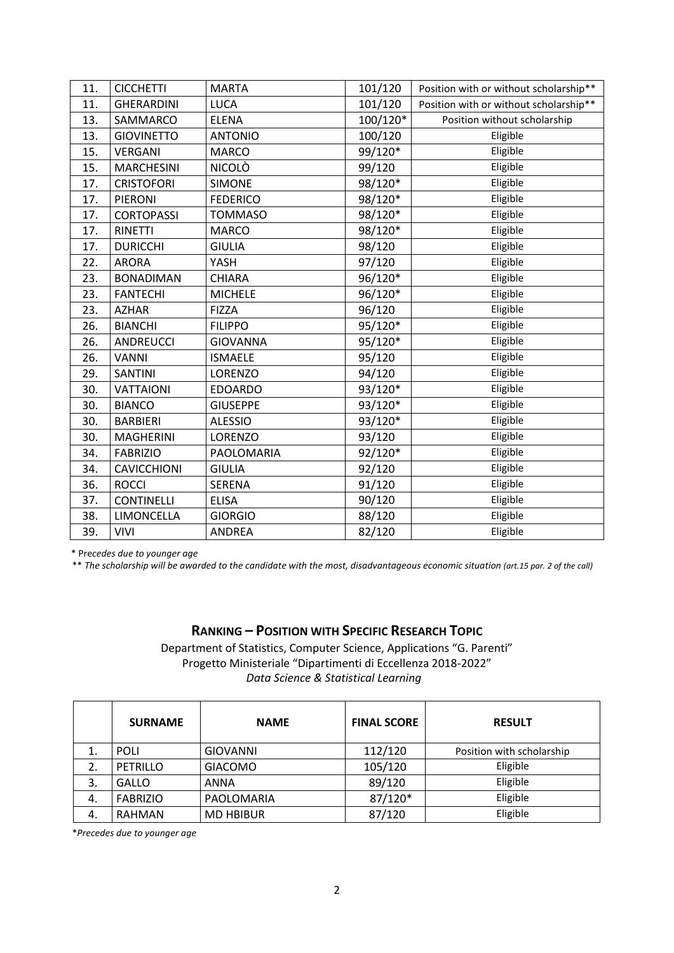| 11. | <b>CICCHETTI</b>   | <b>MARTA</b>    | 101/120  | Position with or without scholarship** |
|-----|--------------------|-----------------|----------|----------------------------------------|
| 11. | <b>GHERARDINI</b>  | <b>LUCA</b>     | 101/120  | Position with or without scholarship** |
| 13. | SAMMARCO           | <b>ELENA</b>    | 100/120* | Position without scholarship           |
| 13. | <b>GIOVINETTO</b>  | <b>ANTONIO</b>  | 100/120  | Eligible                               |
| 15. | <b>VERGANI</b>     | <b>MARCO</b>    | 99/120*  | Eligible                               |
| 15. | <b>MARCHESINI</b>  | NICOLÒ          | 99/120   | Eligible                               |
| 17. | <b>CRISTOFORI</b>  | <b>SIMONE</b>   | 98/120*  | Eligible                               |
| 17. | PIERONI            | <b>FEDERICO</b> | 98/120*  | Eligible                               |
| 17. | <b>CORTOPASSI</b>  | <b>TOMMASO</b>  | 98/120*  | Eligible                               |
| 17. | <b>RINETTI</b>     | <b>MARCO</b>    | 98/120*  | Eligible                               |
| 17. | <b>DURICCHI</b>    | <b>GIULIA</b>   | 98/120   | Eligible                               |
| 22. | <b>ARORA</b>       | YASH            | 97/120   | Eligible                               |
| 23. | <b>BONADIMAN</b>   | <b>CHIARA</b>   | 96/120*  | Eligible                               |
| 23. | <b>FANTECHI</b>    | <b>MICHELE</b>  | 96/120*  | Eligible                               |
| 23. | <b>AZHAR</b>       | <b>FIZZA</b>    | 96/120   | Eligible                               |
| 26. | <b>BIANCHI</b>     | <b>FILIPPO</b>  | 95/120*  | Eligible                               |
| 26. | <b>ANDREUCCI</b>   | <b>GIOVANNA</b> | 95/120*  | Eligible                               |
| 26. | <b>VANNI</b>       | <b>ISMAELE</b>  | 95/120   | Eligible                               |
| 29. | <b>SANTINI</b>     | LORENZO         | 94/120   | Eligible                               |
| 30. | <b>VATTAIONI</b>   | <b>EDOARDO</b>  | 93/120*  | Eligible                               |
| 30. | <b>BIANCO</b>      | <b>GIUSEPPE</b> | 93/120*  | Eligible                               |
| 30. | <b>BARBIERI</b>    | <b>ALESSIO</b>  | 93/120*  | Eligible                               |
| 30. | <b>MAGHERINI</b>   | LORENZO         | 93/120   | Eligible                               |
| 34. | <b>FABRIZIO</b>    | PAOLOMARIA      | 92/120*  | Eligible                               |
| 34. | <b>CAVICCHIONI</b> | <b>GIULIA</b>   | 92/120   | Eligible                               |
| 36. | <b>ROCCI</b>       | SERENA          | 91/120   | Eligible                               |
| 37. | <b>CONTINELLI</b>  | <b>ELISA</b>    | 90/120   | Eligible                               |
| 38. | LIMONCELLA         | <b>GIORGIO</b>  | 88/120   | Eligible                               |
| 39. | <b>VIVI</b>        | <b>ANDREA</b>   | 82/120   | Eligible                               |

\* Pre*cedes due to younger age*

\*\* *The scholarship will be awarded to the candidate with the most, disadvantageous economic situation (art.15 par. 2 of the call)*

## **RANKING – POSITION WITH SPECIFIC RESEARCH TOPIC**

Department of Statistics, Computer Science, Applications "G. Parenti" Progetto Ministeriale "Dipartimenti di Eccellenza 2018-2022" *Data Science & Statistical Learning*

|    | <b>SURNAME</b>  | <b>NAME</b>      | <b>FINAL SCORE</b> | <b>RESULT</b>             |
|----|-----------------|------------------|--------------------|---------------------------|
|    | <b>POLI</b>     | GIOVANNI         | 112/120            | Position with scholarship |
|    | <b>PETRILLO</b> | <b>GIACOMO</b>   | 105/120            | Eligible                  |
| 3. | <b>GALLO</b>    | <b>ANNA</b>      | 89/120             | Eligible                  |
| 4. | <b>FABRIZIO</b> | PAOLOMARIA       | 87/120*            | Eligible                  |
| 4. | <b>RAHMAN</b>   | <b>MD HBIBUR</b> | 87/120             | Eligible                  |

\**Precedes due to younger age*